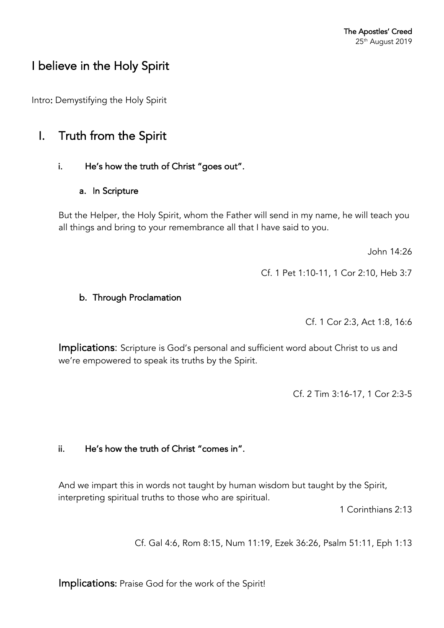# I believe in the Holy Spirit

Intro: Demystifying the Holy Spirit

## I. Truth from the Spirit

### i. He's how the truth of Christ "goes out".

#### a. In Scripture

But the Helper, the Holy Spirit, whom the Father will send in my name, he will teach you all things and bring to your remembrance all that I have said to you.

John 14:26

Cf. 1 Pet 1:10-11, 1 Cor 2:10, Heb 3:7

### b. Through Proclamation

Cf. 1 Cor 2:3, Act 1:8, 16:6

Implications: Scripture is God's personal and sufficient word about Christ to us and we're empowered to speak its truths by the Spirit.

Cf. 2 Tim 3:16-17, 1 Cor 2:3-5

## ii. He's how the truth of Christ "comes in".

And we impart this in words not taught by human wisdom but taught by the Spirit, interpreting spiritual truths to those who are spiritual.

1 Corinthians 2:13

Cf. Gal 4:6, Rom 8:15, Num 11:19, Ezek 36:26, Psalm 51:11, Eph 1:13

Implications: Praise God for the work of the Spirit!